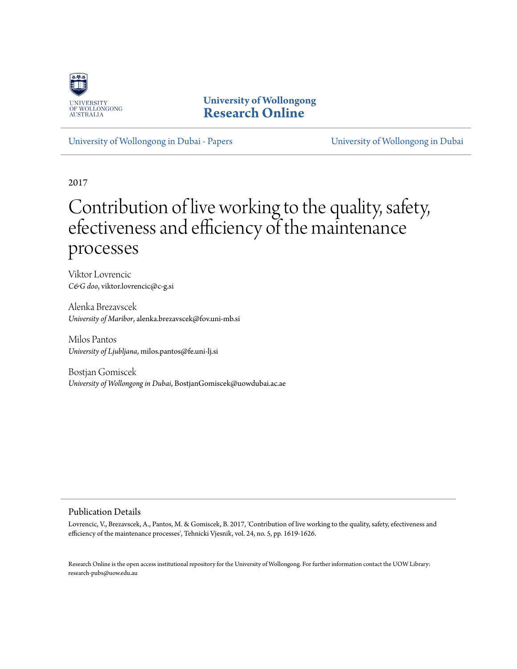

**University of Wollongong [Research Online](http://ro.uow.edu.au)**

[University of Wollongong in Dubai - Papers](http://ro.uow.edu.au/dubaipapers) [University of Wollongong in Dubai](http://ro.uow.edu.au/dubai)

2017

# Contribution of live working to the quality, safety, efectiveness and efficiency of the maintenance processes

Viktor Lovrencic *C&G doo*, viktor.lovrencic@c-g.si

Alenka Brezavscek *University of Maribor*, alenka.brezavscek@fov.uni-mb.si

Milos Pantos *University of Ljubljana*, milos.pantos@fe.uni-lj.si

Bostjan Gomiscek *University of Wollongong in Dubai*, BostjanGomiscek@uowdubai.ac.ae

## Publication Details

Lovrencic, V., Brezavscek, A., Pantos, M. & Gomiscek, B. 2017, 'Contribution of live working to the quality, safety, efectiveness and efficiency of the maintenance processes', Tehnicki Vjesnik, vol. 24, no. 5, pp. 1619-1626.

Research Online is the open access institutional repository for the University of Wollongong. For further information contact the UOW Library: research-pubs@uow.edu.au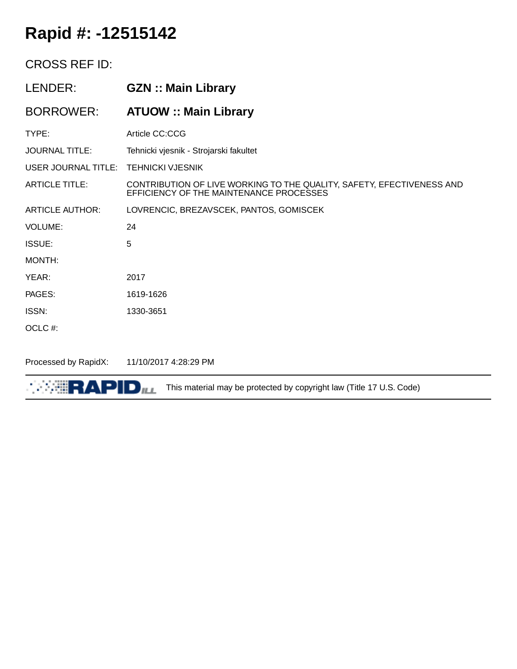## **Rapid #: -12515142**

CROSS REF ID:

| LENDER:                              | <b>GZN :: Main Library</b>                                                                                       |
|--------------------------------------|------------------------------------------------------------------------------------------------------------------|
| <b>BORROWER:</b>                     | <b>ATUOW :: Main Library</b>                                                                                     |
| TYPE:                                | Article CC:CCG                                                                                                   |
| <b>JOURNAL TITLE:</b>                | Tehnicki vjesnik - Strojarski fakultet                                                                           |
| USER JOURNAL TITLE: TEHNICKI VJESNIK |                                                                                                                  |
| <b>ARTICLE TITLE:</b>                | CONTRIBUTION OF LIVE WORKING TO THE QUALITY, SAFETY, EFECTIVENESS AND<br>EFFICIENCY OF THE MAINTENANCE PROCESSES |
| <b>ARTICLE AUTHOR:</b>               | LOVRENCIC, BREZAVSCEK, PANTOS, GOMISCEK                                                                          |
| <b>VOLUME:</b>                       | 24                                                                                                               |
| ISSUE:                               | 5                                                                                                                |
| MONTH:                               |                                                                                                                  |
| YEAR:                                | 2017                                                                                                             |
| PAGES:                               | 1619-1626                                                                                                        |
| ISSN:                                | 1330-3651                                                                                                        |
| OCLC #:                              |                                                                                                                  |
|                                      |                                                                                                                  |

Processed by RapidX: 11/10/2017 4:28:29 PM

This material may be protected by copyright law (Title 17 U.S. Code)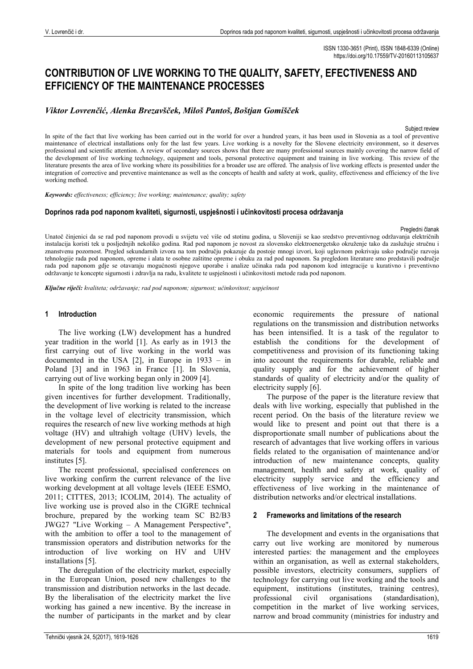ISSN 1330-3651 (Print), ISSN 1848-6339 (Online) https://doi.org/10.17559/TV-20160113105637

## **CONTRIBUTION OF LIVE WORKING TO THE QUALITY, SAFETY, EFECTIVENESS AND EFFICIENCY OF THE MAINTENANCE PROCESSES**

## *Viktor Lovrenčić, Alenka Brezavšček, Miloš Pantoš,Boštjan Gomišček*

Subject review

In spite of the fact that live working has been carried out in the world for over a hundred years, it has been used in Slovenia as a tool of preventive maintenance of electrical installations only for the last few years. Live working is a novelty for the Slovene electricity environment, so it deserves professional and scientific attention. A review of secondary sources shows that there are many professional sources mainly covering the narrow field of the development of live working technology, equipment and tools, personal protective equipment and training in live working. This review of the literature presents the area of live working where its possibilities for a broader use are offered. The analysis of live working effects is presented under the integration of corrective and preventive maintenance as well as the concepts of health and safety at work, quality, effectiveness and efficiency of the live working method.

*Keywords: effectiveness; efficiency; live working; maintenance; quality; safety*

## **Doprinos rada pod naponom kvaliteti, sigurnosti, uspješnosti i učinkovitosti procesa održavanja**

#### Pregledni članak

Unatoč činjenici da se rad pod naponom provodi u svijetu već više od stotinu godina, u Sloveniji se kao sredstvo preventivnog održavanja električnih instalacija koristi tek u posljednjih nekoliko godina. Rad pod naponom je novost za slovensko elektroenergetsko okruženje tako da zaslužuje stručnu i znanstvenu pozornost. Pregled sekundarnih izvora na tom području pokazuje da postoje mnogi izvori, koji uglavnom pokrivaju usko područje razvoja tehnologije rada pod naponom, opreme i alata te osobne zaštitne opreme i obuku za rad pod naponom. Sa pregledom literature smo predstavili područje rada pod naponom gdje se otavaraju mogućnosti njegove uporabe i analize učinaka rada pod naponom kod integracije u kurativno i preventivno održavanje te koncepte sigurnosti i zdravlja na radu, kvalitete te uspješnosti i učinkovitosti metode rada pod naponom.

*Ključne riječi: kvaliteta; održavanje; rad pod naponom; sigurnost; učinkovitost; uspješnost*

#### **1 Introduction**

The live working (LW) development has a hundred year tradition in the world [1]. As early as in 1913 the first carrying out of live working in the world was documented in the USA [2], in Europe in 1933 – in Poland [3] and in 1963 in France [1]. In Slovenia, carrying out of live working began only in 2009 [4].

In spite of the long tradition live working has been given incentives for further development. Traditionally, the development of live working is related to the increase in the voltage level of electricity transmission, which requires the research of new live working methods at high voltage (HV) and ultrahigh voltage (UHV) levels, the development of new personal protective equipment and materials for tools and equipment from numerous institutes [5].

The recent professional, specialised conferences on live working confirm the current relevance of the live working development at all voltage levels (IEEE ESMO, 2011; CITTES, 2013; ICOLIM, 2014). The actuality of live working use is proved also in the CIGRE technical brochure, prepared by the working team SC B2/B3 JWG27 "Live Working – A Management Perspective", with the ambition to offer a tool to the management of transmission operators and distribution networks for the introduction of live working on HV and UHV installations [5].

The deregulation of the electricity market, especially in the European Union, posed new challenges to the transmission and distribution networks in the last decade. By the liberalisation of the electricity market the live working has gained a new incentive. By the increase in the number of participants in the market and by clear

economic requirements the pressure of national regulations on the transmission and distribution networks has been intensified. It is a task of the regulator to establish the conditions for the development of competitiveness and provision of its functioning taking into account the requirements for durable, reliable and quality supply and for the achievement of higher standards of quality of electricity and/or the quality of electricity supply [6].

The purpose of the paper is the literature review that deals with live working, especially that published in the recent period. On the basis of the literature review we would like to present and point out that there is a disproportionate small number of publications about the research of advantages that live working offers in various fields related to the organisation of maintenance and/or introduction of new maintenance concepts, quality management, health and safety at work, quality of electricity supply service and the efficiency and effectiveness of live working in the maintenance of distribution networks and/or electrical installations.

#### **2 Frameworks and limitations of the research**

The development and events in the organisations that carry out live working are monitored by numerous interested parties: the management and the employees within an organisation, as well as external stakeholders, possible investors, electricity consumers, suppliers of technology for carrying out live working and the tools and equipment, institutions (institutes, training centres), professional civil organisations (standardisation), competition in the market of live working services, narrow and broad community (ministries for industry and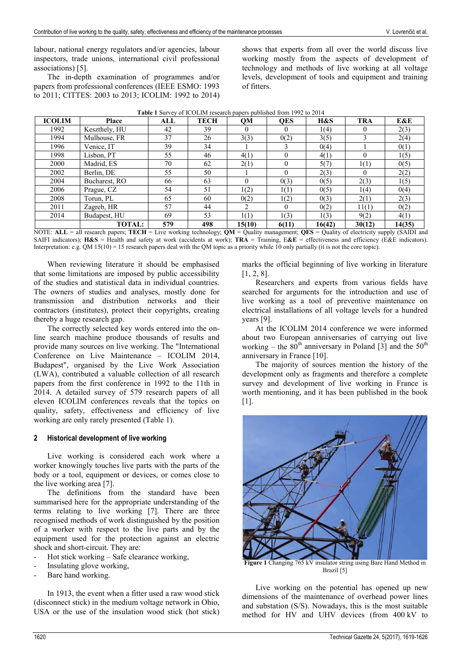labour, national energy regulators and/or agencies, labour inspectors, trade unions, international civil professional associations) [5].

The in-depth examination of programmes and/or papers from professional conferences (IEEE ESMO: 1993 to 2011; CITTES: 2003 to 2013; ICOLIM: 1992 to 2014)

shows that experts from all over the world discuss live working mostly from the aspects of development of technology and methods of live working at all voltage levels, development of tools and equipment and training of fitters.

| <b>ICOLIM</b>                                                                                                                                                                                                          | Place         | ALL | TECH | <b>QM</b>                     | <b>OES</b> | H&S    | <b>TRA</b> | E&E    |  |
|------------------------------------------------------------------------------------------------------------------------------------------------------------------------------------------------------------------------|---------------|-----|------|-------------------------------|------------|--------|------------|--------|--|
| 1992                                                                                                                                                                                                                   | Keszthely, HU | 42  | 39   | O                             |            | 1(4)   |            | 2(3)   |  |
| 1994                                                                                                                                                                                                                   | Mulhouse, FR  | 37  | 26   | 3(3)                          | 0(2)       | 3(5)   |            | 2(4)   |  |
| 1996                                                                                                                                                                                                                   | Venice, IT    | 39  | 34   |                               |            | 0(4)   |            | 0(1)   |  |
| 1998                                                                                                                                                                                                                   | Lisbon, PT    | 55  | 46   | 4(1)                          | $^{(1)}$   | 4(1)   |            | 1(5)   |  |
| 2000                                                                                                                                                                                                                   | Madrid, ES    | 70  | 62   | 2(1)                          |            | 5(7)   | 1(1)       | 0(5)   |  |
| 2002                                                                                                                                                                                                                   | Berlin, DE    | 55  | 50   |                               | 0          | 2(3)   |            | 2(2)   |  |
| 2004                                                                                                                                                                                                                   | Bucharest, RO | 66  | 63   | 0                             | 0(3)       | 0(5)   | 2(3)       | 1(5)   |  |
| 2006                                                                                                                                                                                                                   | Prague, CZ    | 54  | 51   | 1(2)                          | 1(1)       | 0(5)   | 1(4)       | 0(4)   |  |
| 2008                                                                                                                                                                                                                   | Torun, PL     | 65  | 60   | 0(2)                          | 1(2)       | 0(3)   | 2(1)       | 2(3)   |  |
| 2011                                                                                                                                                                                                                   | Zagreb, HR    | 57  | 44   | $\mathfrak{D}_{\mathfrak{p}}$ | 0          | 0(2)   | 11(1)      | 0(2)   |  |
| 2014                                                                                                                                                                                                                   | Budapest, HU  | 69  | 53   | 1(1)                          | 1(3)       | 1(3)   | 9(2)       | 4(1)   |  |
|                                                                                                                                                                                                                        | <b>TOTAL:</b> | 579 | 498  | 15(10)                        | 6(11)      | 16(42) | 30(12)     | 14(35) |  |
| MOTE ALL<br>$\sim$ all recepts penets: $\mathbf{TECH} = \text{Lips with a tabnology: }\mathbf{OM} = \text{Ouality, monogement: }\mathbf{OFE} = \text{Ouality of elasticity, gimplify } \mathbf{S} \wedge \mathbf{IDL}$ |               |     |      |                               |            |        |            |        |  |

**Table 1** Survey of ICOLIM research papers published from 1992 to 2014

NOTE: **ALL** = all research papers; **TECH** = Live working technology; **QM** = Quality management; **QES** = Quality of electricity supply (SAIDI and SAIFI indicators); **H&S** = Health and safety at work (accidents at work); **TRA** = Training, E**&E** = effectiveness and efficiency (E&E indicators). Interpretation: e.g. QM 15(10) = 15 research papers deal with the QM topic as a priority while 10 only partially (it is not the core topic).

When reviewing literature it should be emphasised that some limitations are imposed by public accessibility of the studies and statistical data in individual countries. The owners of studies and analyses, mostly done for transmission and distribution networks and their contractors (institutes), protect their copyrights, creating thereby a huge research gap.

The correctly selected key words entered into the online search machine produce thousands of results and provide many sources on live working. The "International Conference on Live Maintenance – ICOLIM 2014, Budapest", organised by the Live Work Association (LWA), contributed a valuable collection of all research papers from the first conference in 1992 to the 11th in 2014. A detailed survey of 579 research papers of all eleven ICOLIM conferences reveals that the topics on quality, safety, effectiveness and efficiency of live working are only rarely presented (Table 1).

#### **2 Historical development of live working**

Live working is considered each work where a worker knowingly touches live parts with the parts of the body or a tool, equipment or devices, or comes close to the live working area [7].

The definitions from the standard have been summarised here for the appropriate understanding of the terms relating to live working [7]. There are three recognised methods of work distinguished by the position of a worker with respect to the live parts and by the equipment used for the protection against an electric shock and short-circuit. They are:

- Hot stick working Safe clearance working,
- Insulating glove working,
- Bare hand working.

In 1913, the event when a fitter used a raw wood stick (disconnect stick) in the medium voltage network in Ohio, USA or the use of the insulation wood stick (hot stick)

marks the official beginning of live working in literature [1, 2, 8].

Researchers and experts from various fields have searched for arguments for the introduction and use of live working as a tool of preventive maintenance on electrical installations of all voltage levels for a hundred years [9].

At the ICOLIM 2014 conference we were informed about two European anniversaries of carrying out live working – the  $80^{th}$  anniversary in Poland [3] and the  $50^{th}$ anniversary in France [10].

The majority of sources mention the history of the development only as fragments and therefore a complete survey and development of live working in France is worth mentioning, and it has been published in the book  $[1]$ .



**Figure 1** Changing 765 kV insulator string using Bare Hand Method in Brazil [5]

Live working on the potential has opened up new dimensions of the maintenance of overhead power lines and substation (S/S). Nowadays, this is the most suitable method for HV and UHV devices (from 400 kV to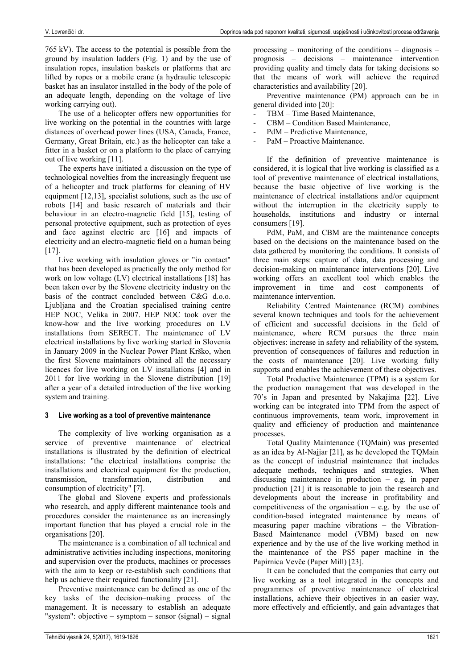765 kV). The access to the potential is possible from the ground by insulation ladders (Fig. 1) and by the use of insulation ropes, insulation baskets or platforms that are lifted by ropes or a mobile crane (a hydraulic telescopic basket has an insulator installed in the body of the pole of an adequate length, depending on the voltage of live working carrying out).

The use of a helicopter offers new opportunities for live working on the potential in the countries with large distances of overhead power lines (USA, Canada, France, Germany, Great Britain, etc.) as the helicopter can take a fitter in a basket or on a platform to the place of carrying out of live working [11].

The experts have initiated a discussion on the type of technological novelties from the increasingly frequent use of a helicopter and truck platforms for cleaning of HV equipment [12,13], specialist solutions, such as the use of robots [14] and basic research of materials and their behaviour in an electro-magnetic field [15], testing of personal protective equipment, such as protection of eyes and face against electric arc [16] and impacts of electricity and an electro-magnetic field on a human being  $[17]$ .

Live working with insulation gloves or "in contact" that has been developed as practically the only method for work on low voltage (LV) electrical installations [18] has been taken over by the Slovene electricity industry on the basis of the contract concluded between C&G d.o.o. Ljubljana and the Croatian specialised training centre HEP NOC, Velika in 2007. HEP NOC took over the know-how and the live working procedures on LV installations from SERECT. The maintenance of LV electrical installations by live working started in Slovenia in January 2009 in the Nuclear Power Plant Krško, when the first Slovene maintainers obtained all the necessary licences for live working on LV installations [4] and in 2011 for live working in the Slovene distribution [19] after a year of a detailed introduction of the live working system and training.

## **3 Live working as a tool of preventive maintenance**

The complexity of live working organisation as a service of preventive maintenance of electrical installations is illustrated by the definition of electrical installations: "the electrical installations comprise the installations and electrical equipment for the production, transmission, transformation, distribution and consumption of electricity" [7].

The global and Slovene experts and professionals who research, and apply different maintenance tools and procedures consider the maintenance as an increasingly important function that has played a crucial role in the organisations [20].

The maintenance is a combination of all technical and administrative activities including inspections, monitoring and supervision over the products, machines or processes with the aim to keep or re-establish such conditions that help us achieve their required functionality [21].

Preventive maintenance can be defined as one of the key tasks of the decision–making process of the management. It is necessary to establish an adequate "system": objective – symptom – sensor (signal) – signal processing – monitoring of the conditions – diagnosis – prognosis – decisions – maintenance intervention providing quality and timely data for taking decisions so that the means of work will achieve the required characteristics and availability [20].

Preventive maintenance (PM) approach can be in general divided into [20]:

- TBM Time Based Maintenance,
- CBM Condition Based Maintenance,
- PdM Predictive Maintenance,
- PaM Proactive Maintenance

If the definition of preventive maintenance is considered, it is logical that live working is classified as a tool of preventive maintenance of electrical installations, because the basic objective of live working is the maintenance of electrical installations and/or equipment without the interruption in the electricity supply to households, institutions and industry or internal consumers [19].

PdM, PaM, and CBM are the maintenance concepts based on the decisions on the maintenance based on the data gathered by monitoring the conditions. It consists of three main steps: capture of data, data processing and decision-making on maintenance interventions [20]. Live working offers an excellent tool which enables the improvement in time and cost components of maintenance intervention.

Reliability Centred Maintenance (RCM) combines several known techniques and tools for the achievement of efficient and successful decisions in the field of maintenance, where RCM pursues the three main objectives: increase in safety and reliability of the system, prevention of consequences of failures and reduction in the costs of maintenance [20]. Live working fully supports and enables the achievement of these objectives.

Total Productive Maintenance (TPM) is a system for the production management that was developed in the 70's in Japan and presented by Nakajima [22]. Live working can be integrated into TPM from the aspect of continuous improvements, team work, improvement in quality and efficiency of production and maintenance processes.

Total Quality Maintenance (TQMain) was presented as an idea by Al-Najjar [21], as he developed the TQMain as the concept of industrial maintenance that includes adequate methods, techniques and strategies. When discussing maintenance in production – e.g. in paper production [21] it is reasonable to join the research and developments about the increase in profitability and competitiveness of the organisation  $-$  e.g. by the use of condition-based integrated maintenance by means of measuring paper machine vibrations – the Vibration-Based Maintenance model (VBM) based on new experience and by the use of the live working method in the maintenance of the PS5 paper machine in the Papirnica Vevče (Paper Mill) [23].

It can be concluded that the companies that carry out live working as a tool integrated in the concepts and programmes of preventive maintenance of electrical installations, achieve their objectives in an easier way, more effectively and efficiently, and gain advantages that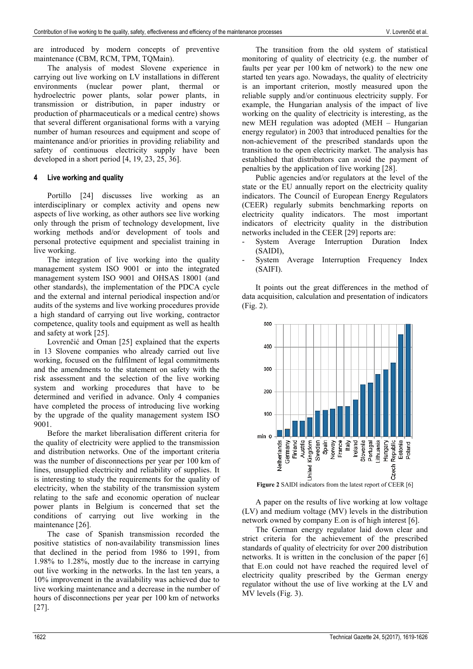are introduced by modern concepts of preventive maintenance (CBM, RCM, TPM, TQMain).

The analysis of modest Slovene experience in carrying out live working on LV installations in different environments (nuclear power plant, thermal or hydroelectric power plants, solar power plants, in transmission or distribution, in paper industry or production of pharmaceuticals or a medical centre) shows that several different organisational forms with a varying number of human resources and equipment and scope of maintenance and/or priorities in providing reliability and safety of continuous electricity supply have been developed in a short period [4, 19, 23, 25, 36].

## **4 Live working and quality**

Portillo [24] discusses live working as an interdisciplinary or complex activity and opens new aspects of live working, as other authors see live working only through the prism of technology development, live working methods and/or development of tools and personal protective equipment and specialist training in live working.

The integration of live working into the quality management system ISO 9001 or into the integrated management system ISO 9001 and OHSAS 18001 (and other standards), the implementation of the PDCA cycle and the external and internal periodical inspection and/or audits of the systems and live working procedures provide a high standard of carrying out live working, contractor competence, quality tools and equipment as well as health and safety at work [25].

Lovrenčić and Oman [25] explained that the experts in 13 Slovene companies who already carried out live working, focused on the fulfilment of legal commitments and the amendments to the statement on safety with the risk assessment and the selection of the live working system and working procedures that have to be determined and verified in advance. Only 4 companies have completed the process of introducing live working by the upgrade of the quality management system ISO 9001.

Before the market liberalisation different criteria for the quality of electricity were applied to the transmission and distribution networks. One of the important criteria was the number of disconnections per year per 100 km of lines, unsupplied electricity and reliability of supplies. It is interesting to study the requirements for the quality of electricity, when the stability of the transmission system relating to the safe and economic operation of nuclear power plants in Belgium is concerned that set the conditions of carrying out live working in the maintenance [26].

The case of Spanish transmission recorded the positive statistics of non-availability transmission lines that declined in the period from 1986 to 1991, from 1.98% to 1.28%, mostly due to the increase in carrying out live working in the networks. In the last ten years, a 10% improvement in the availability was achieved due to live working maintenance and a decrease in the number of hours of disconnections per year per 100 km of networks [27].

The transition from the old system of statistical monitoring of quality of electricity (e.g. the number of faults per year per 100 km of network) to the new one started ten years ago. Nowadays, the quality of electricity is an important criterion, mostly measured upon the reliable supply and/or continuous electricity supply. For example, the Hungarian analysis of the impact of live working on the quality of electricity is interesting, as the new MEH regulation was adopted (MEH – Hungarian energy regulator) in 2003 that introduced penalties for the non-achievement of the prescribed standards upon the transition to the open electricity market. The analysis has established that distributors can avoid the payment of penalties by the application of live working [28].

Public agencies and/or regulators at the level of the state or the EU annually report on the electricity quality indicators. The Council of European Energy Regulators (CEER) regularly submits benchmarking reports on electricity quality indicators. The most important indicators of electricity quality in the distribution networks included in the CEER [29] reports are:

- System Average Interruption Duration Index (SAIDI),
- System Average Interruption Frequency Index (SAIFI).

It points out the great differences in the method of data acquisition, calculation and presentation of indicators (Fig. 2).



A paper on the results of live working at low voltage (LV) and medium voltage (MV) levels in the distribution network owned by company E.on is of high interest [6].

The German energy regulator laid down clear and strict criteria for the achievement of the prescribed standards of quality of electricity for over 200 distribution networks. It is written in the conclusion of the paper [6] that E.on could not have reached the required level of electricity quality prescribed by the German energy regulator without the use of live working at the LV and MV levels (Fig. 3).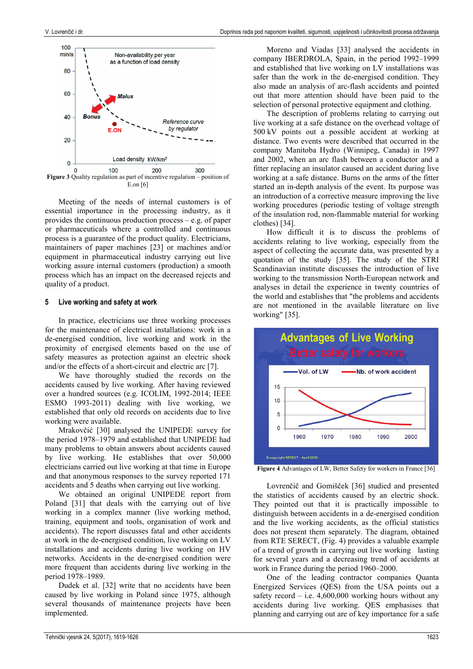

Meeting of the needs of internal customers is of essential importance in the processing industry, as it provides the continuous production process – e.g. of paper or pharmaceuticals where a controlled and continuous process is a guarantee of the product quality. Electricians, maintainers of paper machines [23] or machines and/or equipment in pharmaceutical industry carrying out live working assure internal customers (production) a smooth process which has an impact on the decreased rejects and quality of a product.

#### **5 Live working and safety at work**

In practice, electricians use three working processes for the maintenance of electrical installations: work in a de-energised condition, live working and work in the proximity of energised elements based on the use of safety measures as protection against an electric shock and/or the effects of a short-circuit and electric arc [7].

We have thoroughly studied the records on the accidents caused by live working. After having reviewed over a hundred sources (e.g. ICOLIM, 1992-2014; IEEE ESMO 1993-2011) dealing with live working, we established that only old records on accidents due to live working were available.

Mrakovčić [30] analysed the UNIPEDE survey for the period 1978–1979 and established that UNIPEDE had many problems to obtain answers about accidents caused by live working. He establishes that over 50,000 electricians carried out live working at that time in Europe and that anonymous responses to the survey reported 171 accidents and 5 deaths when carrying out live working.

We obtained an original UNIPEDE report from Poland [31] that deals with the carrying out of live working in a complex manner (live working method, training, equipment and tools, organisation of work and accidents). The report discusses fatal and other accidents at work in the de-energised condition, live working on LV installations and accidents during live working on HV networks. Accidents in the de-energised condition were more frequent than accidents during live working in the period 1978–1989.

Dudek et al. [32] write that no accidents have been caused by live working in Poland since 1975, although several thousands of maintenance projects have been implemented.

Moreno and Viadas [33] analysed the accidents in company IBERDROLA, Spain, in the period 1992–1999 and established that live working on LV installations was safer than the work in the de-energised condition. They also made an analysis of arc-flash accidents and pointed out that more attention should have been paid to the selection of personal protective equipment and clothing.

The description of problems relating to carrying out live working at a safe distance on the overhead voltage of 500 kV points out a possible accident at working at distance. Two events were described that occurred in the company Manitoba Hydro (Winnipeg, Canada) in 1997 and 2002, when an arc flash between a conductor and a fitter replacing an insulator caused an accident during live working at a safe distance. Burns on the arms of the fitter started an in-depth analysis of the event. Its purpose was an introduction of a corrective measure improving the live working procedures (periodic testing of voltage strength of the insulation rod, non-flammable material for working clothes) [34].

How difficult it is to discuss the problems of accidents relating to live working, especially from the aspect of collecting the accurate data, was presented by a quotation of the study [35]. The study of the STRI Scandinavian institute discusses the introduction of live working to the transmission North-European network and analyses in detail the experience in twenty countries of the world and establishes that "the problems and accidents are not mentioned in the available literature on live working" [35].



**Figure 4** Advantages of LW, Better Safety for workers in France [36]

Lovrenčič and Gomišček [36] studied and presented the statistics of accidents caused by an electric shock. They pointed out that it is practically impossible to distinguish between accidents in a de-energised condition and the live working accidents, as the official statistics does not present them separately. The diagram, obtained from RTE SERECT, (Fig. 4) provides a valuable example of a trend of growth in carrying out live working lasting for several years and a decreasing trend of accidents at work in France during the period 1960–2000.

One of the leading contractor companies Quanta Energized Services (QES) from the USA points out a safety record – i.e.  $4,600,000$  working hours without any accidents during live working. QES emphasises that planning and carrying out are of key importance for a safe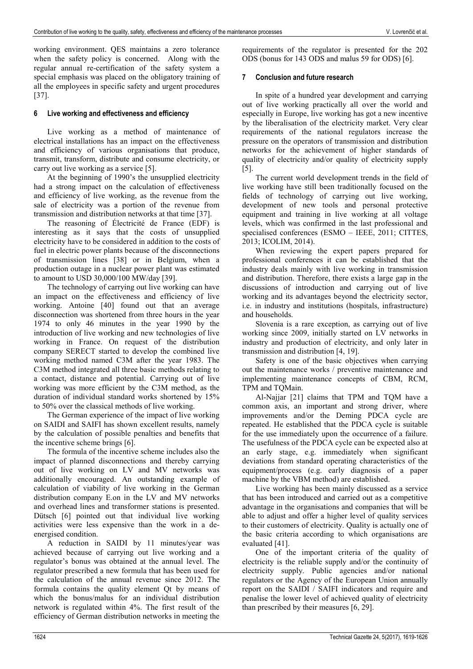working environment. QES maintains a zero tolerance when the safety policy is concerned. Along with the regular annual re-certification of the safety system a special emphasis was placed on the obligatory training of all the employees in specific safety and urgent procedures [37].

## **6 Live working and effectiveness and efficiency**

Live working as a method of maintenance of electrical installations has an impact on the effectiveness and efficiency of various organisations that produce, transmit, transform, distribute and consume electricity, or carry out live working as a service [5].

At the beginning of 1990's the unsupplied electricity had a strong impact on the calculation of effectiveness and efficiency of live working, as the revenue from the sale of electricity was a portion of the revenue from transmission and distribution networks at that time [37].

The reasoning of Électricité de France (EDF) is interesting as it says that the costs of unsupplied electricity have to be considered in addition to the costs of fuel in electric power plants because of the disconnections of transmission lines [38] or in Belgium, when a production outage in a nuclear power plant was estimated to amount to USD 30,000/100 MW/day [39].

The technology of carrying out live working can have an impact on the effectiveness and efficiency of live working. Antoine [40] found out that an average disconnection was shortened from three hours in the year 1974 to only 46 minutes in the year 1990 by the introduction of live working and new technologies of live working in France. On request of the distribution company SERECT started to develop the combined live working method named C3M after the year 1983. The C3M method integrated all three basic methods relating to a contact, distance and potential. Carrying out of live working was more efficient by the C3M method, as the duration of individual standard works shortened by 15% to 50% over the classical methods of live working.

The German experience of the impact of live working on SAIDI and SAIFI has shown excellent results, namely by the calculation of possible penalties and benefits that the incentive scheme brings [6].

The formula of the incentive scheme includes also the impact of planned disconnections and thereby carrying out of live working on LV and MV networks was additionally encouraged. An outstanding example of calculation of viability of live working in the German distribution company E.on in the LV and MV networks and overhead lines and transformer stations is presented. Dütsch [6] pointed out that individual live working activities were less expensive than the work in a deenergised condition.

A reduction in SAIDI by 11 minutes/year was achieved because of carrying out live working and a regulator's bonus was obtained at the annual level. The regulator prescribed a new formula that has been used for the calculation of the annual revenue since 2012. The formula contains the quality element Qt by means of which the bonus/malus for an individual distribution network is regulated within 4%. The first result of the efficiency of German distribution networks in meeting the

requirements of the regulator is presented for the 202 ODS (bonus for 143 ODS and malus 59 for ODS) [6].

## **7 Conclusion and future research**

In spite of a hundred year development and carrying out of live working practically all over the world and especially in Europe, live working has got a new incentive by the liberalisation of the electricity market. Very clear requirements of the national regulators increase the pressure on the operators of transmission and distribution networks for the achievement of higher standards of quality of electricity and/or quality of electricity supply [5].

The current world development trends in the field of live working have still been traditionally focused on the fields of technology of carrying out live working, development of new tools and personal protective equipment and training in live working at all voltage levels, which was confirmed in the last professional and specialised conferences (ESMO – IEEE, 2011; CITTES, 2013; ICOLIM, 2014).

When reviewing the expert papers prepared for professional conferences it can be established that the industry deals mainly with live working in transmission and distribution. Therefore, there exists a large gap in the discussions of introduction and carrying out of live working and its advantages beyond the electricity sector, i.e. in industry and institutions (hospitals, infrastructure) and households.

Slovenia is a rare exception, as carrying out of live working since 2009, initially started on LV networks in industry and production of electricity, and only later in transmission and distribution [4, 19].

Safety is one of the basic objectives when carrying out the maintenance works / preventive maintenance and implementing maintenance concepts of CBM, RCM, TPM and TQMain.

Al-Najjar [21] claims that TPM and TQM have a common axis, an important and strong driver, where improvements and/or the Deming PDCA cycle are repeated. He established that the PDCA cycle is suitable for the use immediately upon the occurrence of a failure. The usefulness of the PDCA cycle can be expected also at an early stage, e.g. immediately when significant deviations from standard operating characteristics of the equipment/process (e.g. early diagnosis of a paper machine by the VBM method) are established.

Live working has been mainly discussed as a service that has been introduced and carried out as a competitive advantage in the organisations and companies that will be able to adjust and offer a higher level of quality services to their customers of electricity. Quality is actually one of the basic criteria according to which organisations are evaluated [41].

One of the important criteria of the quality of electricity is the reliable supply and/or the continuity of electricity supply. Public agencies and/or national regulators or the Agency of the European Union annually report on the SAIDI / SAIFI indicators and require and penalise the lower level of achieved quality of electricity than prescribed by their measures [6, 29].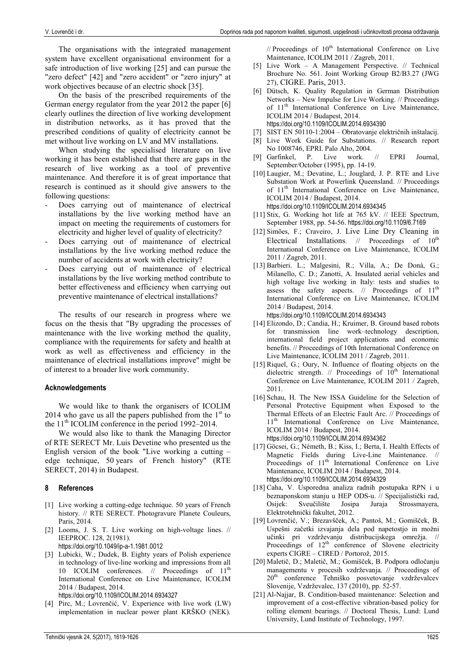The organisations with the integrated management system have excellent organisational environment for a safe introduction of live working [25] and can pursue the "zero defect" [42] and "zero accident" or "zero injury" at work objectives because of an electric shock [35].

On the basis of the prescribed requirements of the German energy regulator from the year 2012 the paper [6] clearly outlines the direction of live working development in distribution networks, as it has proved that the prescribed conditions of quality of electricity cannot be met without live working on LV and MV installations.

When studying the specialised literature on live working it has been established that there are gaps in the research of live working as a tool of preventive maintenance. And therefore it is of great importance that research is continued as it should give answers to the following questions:

- Does carrying out of maintenance of electrical installations by the live working method have an impact on meeting the requirements of customers for electricity and higher level of quality of electricity?
- Does carrying out of maintenance of electrical installations by the live working method reduce the number of accidents at work with electricity?
- Does carrying out of maintenance of electrical installations by the live working method contribute to better effectiveness and efficiency when carrying out preventive maintenance of electrical installations?

The results of our research in progress where we focus on the thesis that "By upgrading the processes of maintenance with the live working method the quality, compliance with the requirements for safety and health at work as well as effectiveness and efficiency in the maintenance of electrical installations improve" might be of interest to a broader live work community.

## **Acknowledgements**

We would like to thank the organisers of ICOLIM 2014 who gave us all the papers published from the  $1<sup>st</sup>$  to the  $11<sup>th</sup>$  ICOLIM conference in the period 1992–2014.

We would also like to thank the Managing Director of RTE SERECT Mr. Luis Devetine who presented us the English version of the book "Live working a cutting – edge technique, 50 years of French history" (RTE SERECT, 2014) in Budapest.

## **8 References**

- [1] Live working a cutting-edge technique. 50 years of French history. // RTE SERECT. Photogravure Planete Couleurs, Paris, 2014.
- [2] Looms, J. S. T. Live working on high-voltage lines. // IEEPROC. 128, 2(1981).

https://doi.org/10.1049/ip-a-1.1981.0012

- [3] Lubicki, W.; Dudek, B. Eighty years of Polish experience in technology of live-line working and impressions from all 10 ICOLIM conferences.  $//$  Proceedings of  $11<sup>th</sup>$ International Conference on Live Maintenance, ICOLIM 2014 / Budapest, 2014. https://doi.org/10.1109/ICOLIM.2014.6934327
- [4] Pirc, M.; Lovrenčić, V. Experience with live work (LW) implementation in nuclear power plant KRŠKO (NEK).

// Proceedings of  $10^{th}$  International Conference on Live Maintenance, ICOLIM 2011 / Zagreb, 2011.

- [5] Live Work A Management Perspective. // Technical Brochure No. 561. Joint Working Group B2/B3.27 (JWG 27), CIGRE. Paris, 2013.
- [6] Dütsch, K. Quality Regulation in German Distribution Networks – New Impulse for Live Working. // Proceedings of 11<sup>th</sup> International Conference on Live Maintenance, ICOLIM 2014 / Budapest, 2014.

https://doi.org/10.1109/ICOLIM.2014.6934390

- [7] SIST EN 50110-1:2004 Obratovanje električnih inštalacij.
- [8] Live Work Guide for Substations. // Research report No 1008746, EPRI. Palo Alto, 2004.<br>Garfinkel P. Live work. //
- [9] Garfinkel, P. Live work. // EPRI Journal, September/October (1995), pp. 14-19.
- [10] Laugier, M.; Devatine, L.; Jouglard, J. P. RTE and Live Substation Work at Powerlink Queensland. // Proceedings of 11<sup>th</sup> International Conference on Live Maintenance, ICOLIM 2014 / Budapest, 2014. https://doi.org/10.1109/ICOLIM.2014.6934345

[11] Stix, G. Working hot life at 765 kV. // IEEE Spectrum, September 1988, pp. 54-56. https://doi.org/10.1109/6.7169

- [12] Simões, F.; Craveiro, J. Live Line Dry Cleaning in Electrical Installations.  $\frac{\partial}{\partial t}$  Proceedings of 10<sup>th</sup> International Conference on Live Maintenance, ICOLIM 2011 / Zagreb, 2011.
- [13] Barbieri. L.; Malgesini, R.; Villa, A.; De Donà, G.; Milanello, C. D.; Zanotti, A. Insulated aerial vehicles and high voltage live working in Italy: tests and studies to assess the safety aspects.  $//$  Proceedings of  $11<sup>th</sup>$ International Conference on Live Maintenance, ICOLIM 2014 / Budapest, 2014.

https://doi.org/10.1109/ICOLIM.2014.6934343

- [14] Elizondo, D.; Candia, H.; Kruimer, B. Ground based robots for transmission line work–technology description, international field project applications and economic benefits. // Proceedings of 10th International Conference on Live Maintenance, ICOLIM 2011 / Zagreb, 2011.
- [15] Riquel, G.; Oury, N. Influence of floating objects on the dielectric strength.  $//$  Proceedings of  $10<sup>th</sup>$  International Conference on Live Maintenance, ICOLIM 2011 / Zagreb, 2011.
- [16] Schau, H. The New ISSA Guideline for the Selection of Personal Protective Equipment when Exposed to the Thermal Effects of an Electric Fault Arc. // Proceedings of 11<sup>th</sup> International Conference on Live Maintenance, ICOLIM 2014 / Budapest, 2014. https://doi.org/10.1109/ICOLIM.2014.6934362
- [17] Göcsei, G.; Németh, B.; Kiss, I.; Berta, I. Health Effects of Magnetic Fields during Live-Line Maintenance. // Proceedings of 11<sup>th</sup> International Conference on Live Maintenance, ICOLIM 2014 / Budapest, 2014. https://doi.org/10.1109/ICOLIM.2014.6934329
- [18] Caha, V. Usporedna analiza radnih postupaka RPN i u beznaponskom stanju u HEP ODS-u. // Specijalistički rad, Osijek: Sveučilište Josipa Juraja Strossmayera, Elektrotehnički fakultet, 2012.
- [19] Lovrenčić, V.; Brezavšček, A.; Pantoš, M.; Gomišček, B. Uspešni začetki izvajanja dela pod napetostjo in možni učinki pri vzdrževanju distribucijskega omrežja. // Proceedings of  $12<sup>th</sup>$  conference of Slovene electricity experts CIGRE – CIRED / Portorož, 2015.
- [20] Maletič, D.; Maletič, M.; Gomišček, B. Podpora odločanju managementu v procesih vzdrževanja. // Proceedings of 20<sup>th</sup> conference Tehniško posvetovanje vzdrževalcev Slovenije, Vzdrževalec, 137 (2010), pp. 52-57.
- [21] Al-Najjar, B. Condition-based maintenance: Selection and improvement of a cost-effective vibration-based policy for rolling element bearings. // Doctoral Thesis, Lund: Lund University, Lund Institute of Technology, 1997.